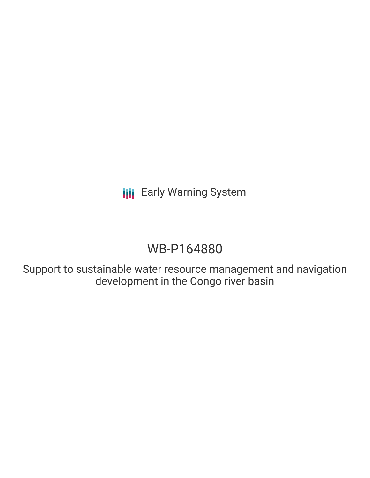# WB-P164880

Support to sustainable water resource management and navigation development in the Congo river basin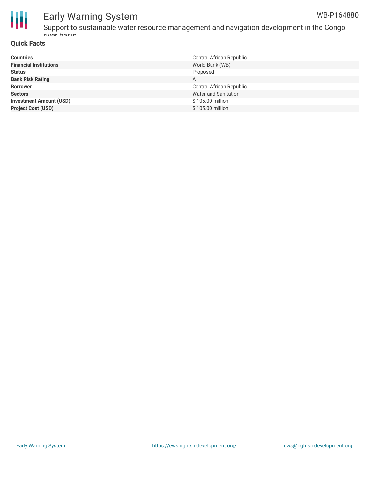



Support to sustainable water resource management and navigation development in the Congo river basin

#### **Quick Facts**

| <b>Countries</b>               | Central African Republic |
|--------------------------------|--------------------------|
| <b>Financial Institutions</b>  | World Bank (WB)          |
| <b>Status</b>                  | Proposed                 |
| <b>Bank Risk Rating</b>        | A                        |
| <b>Borrower</b>                | Central African Republic |
| <b>Sectors</b>                 | Water and Sanitation     |
| <b>Investment Amount (USD)</b> | \$105.00 million         |
| <b>Project Cost (USD)</b>      | \$105.00 million         |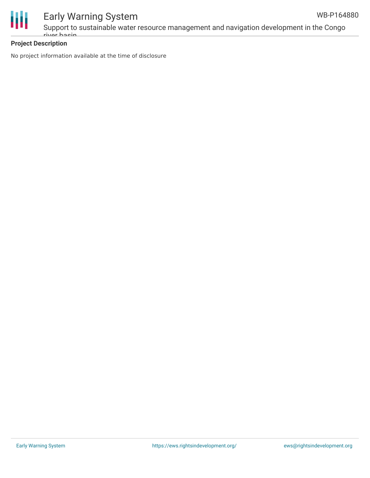



Support to sustainable water resource management and navigation development in the Congo river basin

#### **Project Description**

No project information available at the time of disclosure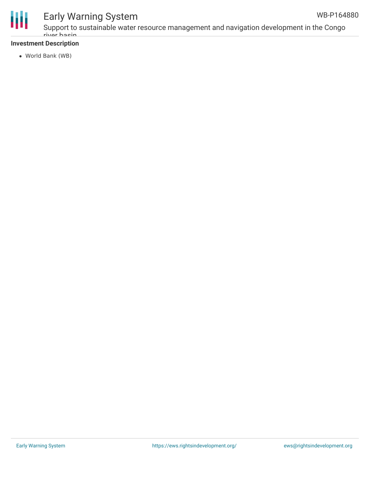



Support to sustainable water resource management and navigation development in the Congo river basin

#### **Investment Description**

World Bank (WB)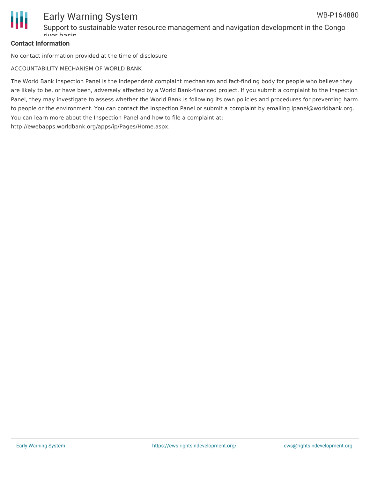

Support to sustainable water resource management and navigation development in the Congo rivor hacin

#### **Contact Information**

No contact information provided at the time of disclosure

ACCOUNTABILITY MECHANISM OF WORLD BANK

The World Bank Inspection Panel is the independent complaint mechanism and fact-finding body for people who believe they are likely to be, or have been, adversely affected by a World Bank-financed project. If you submit a complaint to the Inspection Panel, they may investigate to assess whether the World Bank is following its own policies and procedures for preventing harm to people or the environment. You can contact the Inspection Panel or submit a complaint by emailing ipanel@worldbank.org. You can learn more about the Inspection Panel and how to file a complaint at: http://ewebapps.worldbank.org/apps/ip/Pages/Home.aspx.